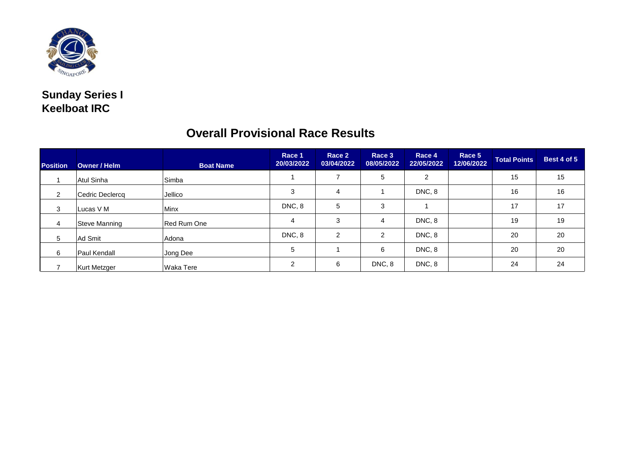

## **Sunday Series I Keelboat IRC**

| <b>Position</b> | Owner / Helm        | <b>Boat Name</b>   | Race 1<br>20/03/2022 | Race 2<br>03/04/2022 | Race 3<br>08/05/2022 | Race 4<br>22/05/2022 | Race 5<br>12/06/2022 | <b>Total Points</b> | Best 4 of 5 |
|-----------------|---------------------|--------------------|----------------------|----------------------|----------------------|----------------------|----------------------|---------------------|-------------|
|                 | Atul Sinha          | Simba              |                      |                      | 5                    | 2                    |                      | 15                  | 15          |
| 2               | Cedric Declercq     | Jellico            | 3                    | $\overline{4}$       |                      | DNC, 8               |                      | 16                  | 16          |
| 3               | Lucas V M           | Minx               | DNC, 8               | 5                    | 3                    |                      |                      | 17                  | 17          |
| 4               | Steve Manning       | <b>Red Rum One</b> | 4                    | 3                    | 4                    | DNC, 8               |                      | 19                  | 19          |
| 5               | Ad Smit             | Adona              | DNC, 8               | 2                    | $\mathcal{P}$        | DNC, 8               |                      | 20                  | 20          |
| 6               | <b>Paul Kendall</b> | Jong Dee           | 5                    |                      | 6                    | DNC, 8               |                      | 20                  | 20          |
|                 | <b>Kurt Metzger</b> | Waka Tere          | $\mathcal{P}$        | 6                    | DNC, 8               | DNC, 8               |                      | 24                  | 24          |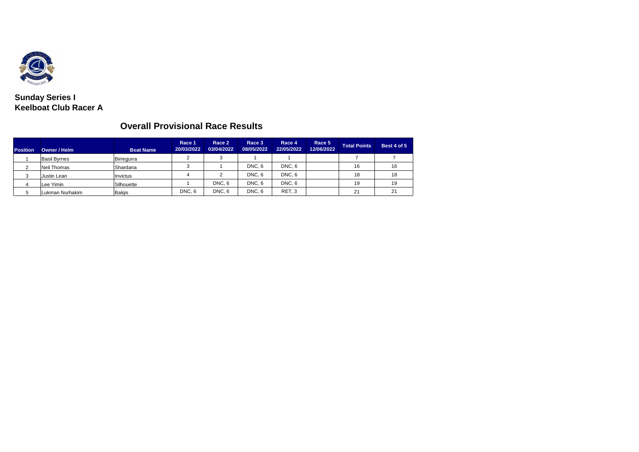

**Sunday Series I Keelboat Club Racer A**

| <b>Position</b> | Owner / Helm        | <b>Boat Name</b> | Race 1<br>20/03/2022 | Race 2<br>03/04/2022 | Race 3<br>08/05/2022 | Race 4<br>22/05/2022 | Race 5<br>12/06/2022 | <b>Total Points</b> | Best 4 of 5 |
|-----------------|---------------------|------------------|----------------------|----------------------|----------------------|----------------------|----------------------|---------------------|-------------|
|                 | <b>Basil Byrnes</b> | Birregurra       | $\sim$               |                      |                      |                      |                      |                     |             |
|                 | <b>Neil Thomas</b>  | Shardana         | 3                    |                      | DNC <sub>.6</sub>    | DNC, 6               |                      | 16                  | 16          |
| 3               | Justin Lean         | Invictus         |                      |                      | DNC <sub>.6</sub>    | DNC, 6               |                      | 18                  | 18          |
|                 | Lee Yimin           | Silhouette       |                      | DNC.6                | DNC <sub>.6</sub>    | DNC <sub>.6</sub>    |                      | 19                  | 19          |
|                 | Lukman Nurhakim     | Balgis           | DNC, 6               | DNC <sub>, 6</sub>   | DNC.6                | RET <sub>, 3</sub>   |                      | 21                  | 21          |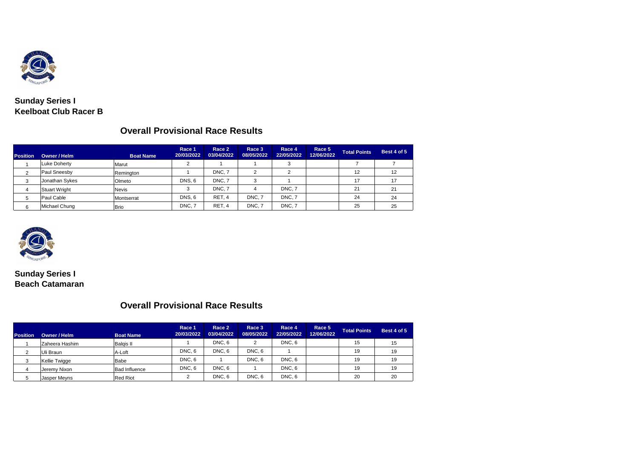

#### **Sunday Series I Keelboat Club Racer B**

## **Overall Provisional Race Results**

| <b>Position</b> | Owner / Helm         | <b>Boat Name</b> | Race 1<br>20/03/2022 | Race 2<br>03/04/2022 | Race 3<br>08/05/2022 | Race 4<br>22/05/2022 | Race 5<br>12/06/2022 | <b>Total Points</b> | Best 4 of 5 |
|-----------------|----------------------|------------------|----------------------|----------------------|----------------------|----------------------|----------------------|---------------------|-------------|
|                 | <b>Luke Doherty</b>  | Marut            | ◠                    |                      |                      | 3                    |                      |                     |             |
|                 | Paul Sneesby         | Remington        |                      | DNC.7                | ◠                    | ົ                    |                      | 12                  | 12          |
| 3               | Jonathan Sykes       | Olmeto           | <b>DNS.6</b>         | DNC.7                | 3                    |                      |                      | 17                  | 17          |
| 4               | <b>Stuart Wright</b> | <b>Nevis</b>     |                      | DNC.7                | 4                    | DNC.7                |                      | 21                  | 21          |
| 5               | Paul Cable           | Montserrat       | <b>DNS.6</b>         | RET. 4               | DNC.7                | DNC.7                |                      | 24                  | 24          |
|                 | Michael Chung        | <b>Brio</b>      | DNC.7                | RET. 4               | DNC.7                | DNC. 7               |                      | 25                  | 25          |



**Sunday Series I Beach Catamaran**

| <b>Position</b> | Owner / Helm         | <b>Boat Name</b>     | Race 1<br>20/03/2022 | Race 2<br>03/04/2022 | Race 3<br>08/05/2022 | Race 4<br>22/05/2022 | Race 5<br>12/06/2022 | <b>Total Points</b> | Best 4 of 5 |
|-----------------|----------------------|----------------------|----------------------|----------------------|----------------------|----------------------|----------------------|---------------------|-------------|
|                 | Zaheera Hashim       | <b>Balgis II</b>     |                      | DNC.6                |                      | DNC, 6               |                      | 15                  | 15          |
| 2               | Uli Braun            | A-Loft               | DNC, 6               | DNC <sub>, 6</sub>   | DNC <sub>, 6</sub>   |                      |                      | 19                  | 19          |
| 3               | <b>Kellie Twigge</b> | Babe                 | DNC, 6               |                      | DNC <sub>, 6</sub>   | DNC, 6               |                      | 19                  | 19          |
| 4               | Jeremy Nixon         | <b>Bad Influence</b> | DNC <sub>.6</sub>    | DNC, 6               |                      | DNC, 6               |                      | 19                  | 19          |
| 5               | Jasper Meyns         | <b>Red Riot</b>      |                      | DNC <sub>.6</sub>    | DNC <sub>.6</sub>    | DNC <sub>.6</sub>    |                      | 20                  | 20          |